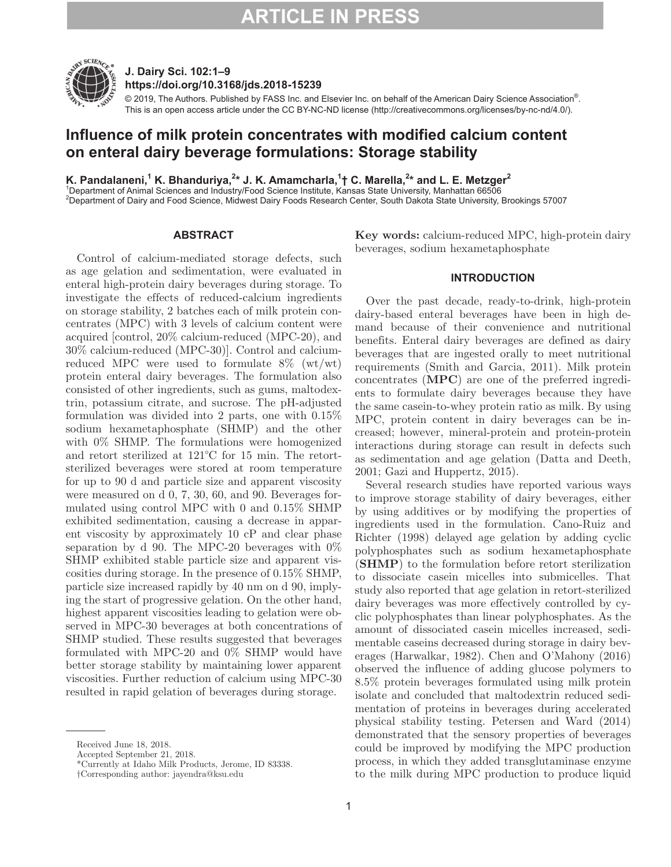

**J. Dairy Sci. 102:1–9 https://doi.org/10.3168/jds.2018-15239**

© 2019, The Authors. Published by FASS Inc. and Elsevier Inc. on behalf of the American Dairy Science Association®. This is an open access article under the CC BY-NC-ND license (http://creativecommons.org/licenses/by-nc-nd/4.0/).

# **Influence of milk protein concentrates with modified calcium content on enteral dairy beverage formulations: Storage stability**

**K. Pandalaneni,1 K. Bhanduriya,2 \* J. K. Amamcharla,<sup>1</sup> † C. Marella,2 \* and L. E. Metzger2** 1 Department of Animal Sciences and Industry/Food Science Institute, Kansas State University, Manhattan 66506 2 Department of Dairy and Food Science, Midwest Dairy Foods Research Center, South Dakota State University, Brookings 57007

### **ABSTRACT**

Control of calcium-mediated storage defects, such as age gelation and sedimentation, were evaluated in enteral high-protein dairy beverages during storage. To investigate the effects of reduced-calcium ingredients on storage stability, 2 batches each of milk protein concentrates (MPC) with 3 levels of calcium content were acquired [control, 20% calcium-reduced (MPC-20), and 30% calcium-reduced (MPC-30)]. Control and calciumreduced MPC were used to formulate  $8\%$  (wt/wt) protein enteral dairy beverages. The formulation also consisted of other ingredients, such as gums, maltodextrin, potassium citrate, and sucrose. The pH-adjusted formulation was divided into 2 parts, one with 0.15% sodium hexametaphosphate (SHMP) and the other with 0% SHMP. The formulations were homogenized and retort sterilized at 121°C for 15 min. The retortsterilized beverages were stored at room temperature for up to 90 d and particle size and apparent viscosity were measured on d 0, 7, 30, 60, and 90. Beverages formulated using control MPC with 0 and 0.15% SHMP exhibited sedimentation, causing a decrease in apparent viscosity by approximately 10 cP and clear phase separation by d 90. The MPC-20 beverages with  $0\%$ SHMP exhibited stable particle size and apparent viscosities during storage. In the presence of 0.15% SHMP, particle size increased rapidly by 40 nm on d 90, implying the start of progressive gelation. On the other hand, highest apparent viscosities leading to gelation were observed in MPC-30 beverages at both concentrations of SHMP studied. These results suggested that beverages formulated with MPC-20 and 0% SHMP would have better storage stability by maintaining lower apparent viscosities. Further reduction of calcium using MPC-30 resulted in rapid gelation of beverages during storage.

**Key words:** calcium-reduced MPC, high-protein dairy beverages, sodium hexametaphosphate

#### **INTRODUCTION**

Over the past decade, ready-to-drink, high-protein dairy-based enteral beverages have been in high demand because of their convenience and nutritional benefits. Enteral dairy beverages are defined as dairy beverages that are ingested orally to meet nutritional requirements (Smith and Garcia, 2011). Milk protein concentrates (**MPC**) are one of the preferred ingredients to formulate dairy beverages because they have the same casein-to-whey protein ratio as milk. By using MPC, protein content in dairy beverages can be increased; however, mineral-protein and protein-protein interactions during storage can result in defects such as sedimentation and age gelation (Datta and Deeth, 2001; Gazi and Huppertz, 2015).

Several research studies have reported various ways to improve storage stability of dairy beverages, either by using additives or by modifying the properties of ingredients used in the formulation. Cano-Ruiz and Richter (1998) delayed age gelation by adding cyclic polyphosphates such as sodium hexametaphosphate (**SHMP**) to the formulation before retort sterilization to dissociate casein micelles into submicelles. That study also reported that age gelation in retort-sterilized dairy beverages was more effectively controlled by cyclic polyphosphates than linear polyphosphates. As the amount of dissociated casein micelles increased, sedimentable caseins decreased during storage in dairy beverages (Harwalkar, 1982). Chen and O'Mahony (2016) observed the influence of adding glucose polymers to 8.5% protein beverages formulated using milk protein isolate and concluded that maltodextrin reduced sedimentation of proteins in beverages during accelerated physical stability testing. Petersen and Ward (2014) demonstrated that the sensory properties of beverages could be improved by modifying the MPC production process, in which they added transglutaminase enzyme to the milk during MPC production to produce liquid

Received June 18, 2018.

Accepted September 21, 2018.

<sup>\*</sup>Currently at Idaho Milk Products, Jerome, ID 83338.

<sup>†</sup>Corresponding author: jayendra@ksu.edu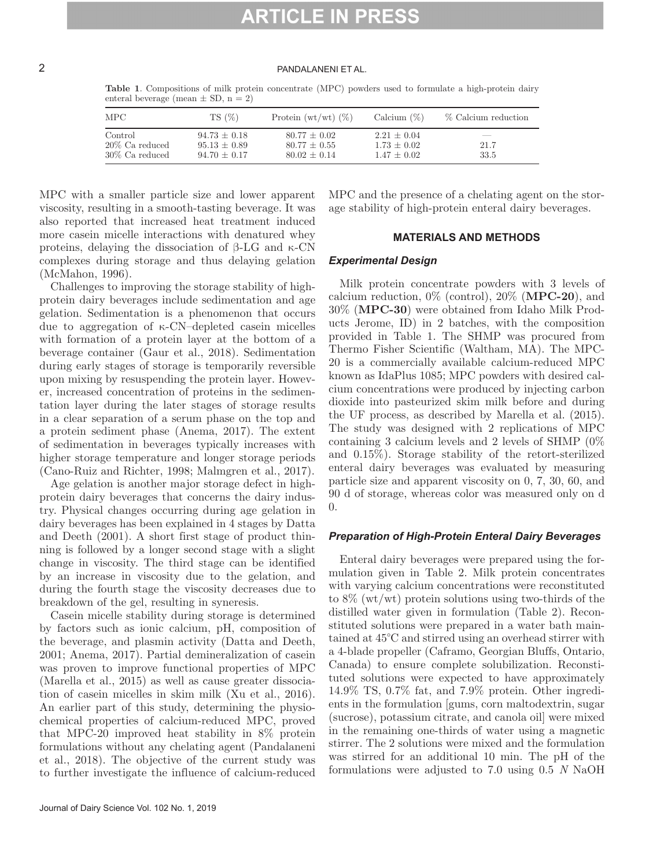### 2 PANDALANENI ET AL.

| <b>MPC</b>        | $TS(\%)$       | Protein $(wt/wt)$ $(\%)$ | Calcium $(\%)$  | % Calcium reduction |
|-------------------|----------------|--------------------------|-----------------|---------------------|
| Control           | $94.73 + 0.18$ | $80.77 + 0.02$           | $2.21 \pm 0.04$ | ___                 |
| $20\%$ Ca reduced | $95.13 + 0.89$ | $80.77 \pm 0.55$         | $1.73 + 0.02$   | 21.7                |
| $30\%$ Ca reduced | $94.70 + 0.17$ | $80.02 \pm 0.14$         | $1.47 + 0.02$   | 33.5                |

**Table 1**. Compositions of milk protein concentrate (MPC) powders used to formulate a high-protein dairy enteral beverage (mean  $\pm$  SD, n = 2)

MPC with a smaller particle size and lower apparent viscosity, resulting in a smooth-tasting beverage. It was also reported that increased heat treatment induced more casein micelle interactions with denatured whey proteins, delaying the dissociation of β-LG and κ-CN complexes during storage and thus delaying gelation (McMahon, 1996).

Challenges to improving the storage stability of highprotein dairy beverages include sedimentation and age gelation. Sedimentation is a phenomenon that occurs due to aggregation of κ-CN–depleted casein micelles with formation of a protein layer at the bottom of a beverage container (Gaur et al., 2018). Sedimentation during early stages of storage is temporarily reversible upon mixing by resuspending the protein layer. However, increased concentration of proteins in the sedimentation layer during the later stages of storage results in a clear separation of a serum phase on the top and a protein sediment phase (Anema, 2017). The extent of sedimentation in beverages typically increases with higher storage temperature and longer storage periods (Cano-Ruiz and Richter, 1998; Malmgren et al., 2017).

Age gelation is another major storage defect in highprotein dairy beverages that concerns the dairy industry. Physical changes occurring during age gelation in dairy beverages has been explained in 4 stages by Datta and Deeth (2001). A short first stage of product thinning is followed by a longer second stage with a slight change in viscosity. The third stage can be identified by an increase in viscosity due to the gelation, and during the fourth stage the viscosity decreases due to breakdown of the gel, resulting in syneresis.

Casein micelle stability during storage is determined by factors such as ionic calcium, pH, composition of the beverage, and plasmin activity (Datta and Deeth, 2001; Anema, 2017). Partial demineralization of casein was proven to improve functional properties of MPC (Marella et al., 2015) as well as cause greater dissociation of casein micelles in skim milk (Xu et al., 2016). An earlier part of this study, determining the physiochemical properties of calcium-reduced MPC, proved that MPC-20 improved heat stability in 8% protein formulations without any chelating agent (Pandalaneni et al., 2018). The objective of the current study was to further investigate the influence of calcium-reduced

MPC and the presence of a chelating agent on the storage stability of high-protein enteral dairy beverages.

### **MATERIALS AND METHODS**

#### *Experimental Design*

Milk protein concentrate powders with 3 levels of calcium reduction, 0% (control), 20% (**MPC-20**), and 30% (**MPC-30**) were obtained from Idaho Milk Products Jerome, ID) in 2 batches, with the composition provided in Table 1. The SHMP was procured from Thermo Fisher Scientific (Waltham, MA). The MPC-20 is a commercially available calcium-reduced MPC known as IdaPlus 1085; MPC powders with desired calcium concentrations were produced by injecting carbon dioxide into pasteurized skim milk before and during the UF process, as described by Marella et al. (2015). The study was designed with 2 replications of MPC containing 3 calcium levels and 2 levels of SHMP (0% and 0.15%). Storage stability of the retort-sterilized enteral dairy beverages was evaluated by measuring particle size and apparent viscosity on 0, 7, 30, 60, and 90 d of storage, whereas color was measured only on d 0.

#### *Preparation of High-Protein Enteral Dairy Beverages*

Enteral dairy beverages were prepared using the formulation given in Table 2. Milk protein concentrates with varying calcium concentrations were reconstituted to 8% (wt/wt) protein solutions using two-thirds of the distilled water given in formulation (Table 2). Reconstituted solutions were prepared in a water bath maintained at 45°C and stirred using an overhead stirrer with a 4-blade propeller (Caframo, Georgian Bluffs, Ontario, Canada) to ensure complete solubilization. Reconstituted solutions were expected to have approximately 14.9% TS, 0.7% fat, and 7.9% protein. Other ingredients in the formulation [gums, corn maltodextrin, sugar (sucrose), potassium citrate, and canola oil] were mixed in the remaining one-thirds of water using a magnetic stirrer. The 2 solutions were mixed and the formulation was stirred for an additional 10 min. The pH of the formulations were adjusted to 7.0 using 0.5 *N* NaOH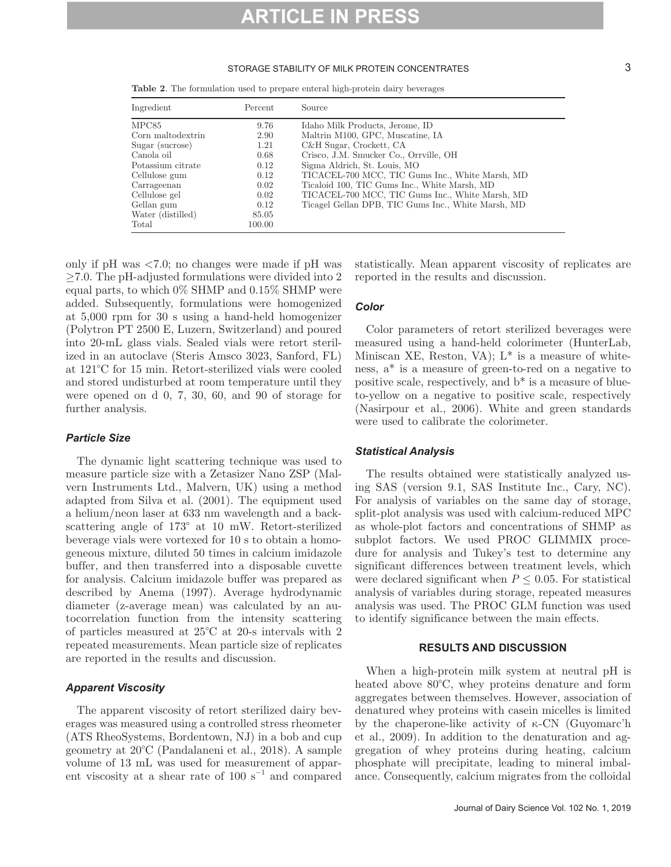#### STORAGE STABILITY OF MILK PROTEIN CONCENTRATES 3

**Table 2**. The formulation used to prepare enteral high-protein dairy beverages

| Ingredient        | Percent | Source                                             |
|-------------------|---------|----------------------------------------------------|
| MPC85             | 9.76    | Idaho Milk Products, Jerome, ID                    |
| Corn maltodextrin | 2.90    | Maltrin M100, GPC, Muscatine, IA                   |
| Sugar (sucrose)   | 1.21    | C&H Sugar, Crockett, CA                            |
| Canola oil        | 0.68    | Crisco, J.M. Smucker Co., Orrville, OH             |
| Potassium citrate | 0.12    | Sigma Aldrich, St. Louis, MO                       |
| Cellulose gum     | 0.12    | TICACEL-700 MCC, TIC Gums Inc., White Marsh, MD    |
| Carrageenan       | 0.02    | Ticaloid 100, TIC Gums Inc., White Marsh, MD       |
| Cellulose gel     | 0.02    | TICACEL-700 MCC, TIC Gums Inc., White Marsh, MD    |
| Gellan gum        | 0.12    | Ticagel Gellan DPB, TIC Gums Inc., White Marsh, MD |
| Water (distilled) | 85.05   |                                                    |
| Total             | 100.00  |                                                    |

only if pH was <7.0; no changes were made if pH was ≥7.0. The pH-adjusted formulations were divided into 2 equal parts, to which 0% SHMP and 0.15% SHMP were added. Subsequently, formulations were homogenized at 5,000 rpm for 30 s using a hand-held homogenizer (Polytron PT 2500 E, Luzern, Switzerland) and poured into 20-mL glass vials. Sealed vials were retort sterilized in an autoclave (Steris Amsco 3023, Sanford, FL) at 121°C for 15 min. Retort-sterilized vials were cooled and stored undisturbed at room temperature until they were opened on d 0, 7, 30, 60, and 90 of storage for further analysis.

#### *Particle Size*

The dynamic light scattering technique was used to measure particle size with a Zetasizer Nano ZSP (Malvern Instruments Ltd., Malvern, UK) using a method adapted from Silva et al. (2001). The equipment used a helium/neon laser at 633 nm wavelength and a backscattering angle of 173° at 10 mW. Retort-sterilized beverage vials were vortexed for 10 s to obtain a homogeneous mixture, diluted 50 times in calcium imidazole buffer, and then transferred into a disposable cuvette for analysis. Calcium imidazole buffer was prepared as described by Anema (1997). Average hydrodynamic diameter (z-average mean) was calculated by an autocorrelation function from the intensity scattering of particles measured at 25°C at 20-s intervals with 2 repeated measurements. Mean particle size of replicates are reported in the results and discussion.

### *Apparent Viscosity*

The apparent viscosity of retort sterilized dairy beverages was measured using a controlled stress rheometer (ATS RheoSystems, Bordentown, NJ) in a bob and cup geometry at 20°C (Pandalaneni et al., 2018). A sample volume of 13 mL was used for measurement of apparent viscosity at a shear rate of 100 s<sup> $-1$ </sup> and compared statistically. Mean apparent viscosity of replicates are reported in the results and discussion.

### *Color*

Color parameters of retort sterilized beverages were measured using a hand-held colorimeter (HunterLab, Miniscan XE, Reston, VA);  $L^*$  is a measure of whiteness, a\* is a measure of green-to-red on a negative to positive scale, respectively, and b\* is a measure of blueto-yellow on a negative to positive scale, respectively (Nasirpour et al., 2006). White and green standards were used to calibrate the colorimeter.

#### *Statistical Analysis*

The results obtained were statistically analyzed using SAS (version 9.1, SAS Institute Inc., Cary, NC). For analysis of variables on the same day of storage, split-plot analysis was used with calcium-reduced MPC as whole-plot factors and concentrations of SHMP as subplot factors. We used PROC GLIMMIX procedure for analysis and Tukey's test to determine any significant differences between treatment levels, which were declared significant when  $P \leq 0.05$ . For statistical analysis of variables during storage, repeated measures analysis was used. The PROC GLM function was used to identify significance between the main effects.

#### **RESULTS AND DISCUSSION**

When a high-protein milk system at neutral pH is heated above 80°C, whey proteins denature and form aggregates between themselves. However, association of denatured whey proteins with casein micelles is limited by the chaperone-like activity of κ-CN (Guyomarc'h et al., 2009). In addition to the denaturation and aggregation of whey proteins during heating, calcium phosphate will precipitate, leading to mineral imbalance. Consequently, calcium migrates from the colloidal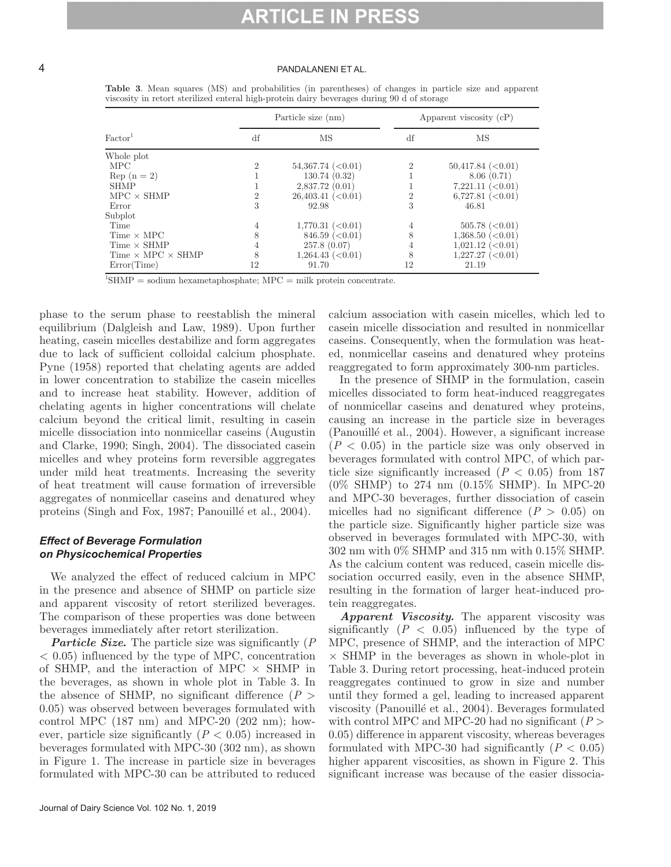#### 4 PANDALANENI ET AL.

|                                 |                | Particle size (nm)      | Apparent viscosity $(cP)$ |                           |  |
|---------------------------------|----------------|-------------------------|---------------------------|---------------------------|--|
| Factor <sup>1</sup>             | df             | MS                      |                           | MS                        |  |
| Whole plot                      |                |                         |                           |                           |  |
| <b>MPC</b>                      | $\overline{2}$ | 54,367.74~(<0.01)       | $\overline{2}$            | 50,417.84~(<0.01)         |  |
| $\text{Rep}(n=2)$               |                | 130.74(0.32)            |                           | 8.06(0.71)                |  |
| <b>SHMP</b>                     |                | 2,837.72(0.01)          |                           | 7,221.11~(<0.01)          |  |
| $MPC \times SHMP$               | $\overline{2}$ | 26,403.41~(<0.01)       | $\overline{2}$            | 6,727.81~(<0.01)          |  |
| Error                           | 3              | 92.98                   | 3                         | 46.81                     |  |
| Subplot                         |                |                         |                           |                           |  |
| Time                            | 4              | 1,770.31~(<0.01)        | 4                         | $505.78 \approx (0.01)$   |  |
| $Time \times MPC$               | 8              | $846.59 \approx (0.01)$ | 8                         | 1,368.50~(<0.01)          |  |
| $Time \times SHMP$              | 4              | 257.8(0.07)             | 4                         | 1,021.12~(<0.01)          |  |
| Time $\times$ MPC $\times$ SHMP | 8              | 1,264.43~(<0.01)        | 8                         | $1,227.27 \approx (0.01)$ |  |
| Error(Time)                     | 12             | 91.70                   | 12                        | 21.19                     |  |

**Table 3**. Mean squares (MS) and probabilities (in parentheses) of changes in particle size and apparent viscosity in retort sterilized enteral high-protein dairy beverages during 90 d of storage

 ${}^{1}$ SHMP = sodium hexametaphosphate; MPC = milk protein concentrate.

phase to the serum phase to reestablish the mineral equilibrium (Dalgleish and Law, 1989). Upon further heating, casein micelles destabilize and form aggregates due to lack of sufficient colloidal calcium phosphate. Pyne (1958) reported that chelating agents are added in lower concentration to stabilize the casein micelles and to increase heat stability. However, addition of chelating agents in higher concentrations will chelate calcium beyond the critical limit, resulting in casein micelle dissociation into nonmicellar caseins (Augustin and Clarke, 1990; Singh, 2004). The dissociated casein micelles and whey proteins form reversible aggregates under mild heat treatments. Increasing the severity of heat treatment will cause formation of irreversible aggregates of nonmicellar caseins and denatured whey proteins (Singh and Fox, 1987; Panouillé et al., 2004).

# *Effect of Beverage Formulation on Physicochemical Properties*

We analyzed the effect of reduced calcium in MPC in the presence and absence of SHMP on particle size and apparent viscosity of retort sterilized beverages. The comparison of these properties was done between beverages immediately after retort sterilization.

*Particle Size.* The particle size was significantly (*P* < 0.05) influenced by the type of MPC, concentration of SHMP, and the interaction of MPC  $\times$  SHMP in the beverages, as shown in whole plot in Table 3. In the absence of SHMP, no significant difference  $(P >$ 0.05) was observed between beverages formulated with control MPC  $(187 \text{ nm})$  and MPC-20  $(202 \text{ nm})$ ; however, particle size significantly  $(P < 0.05)$  increased in beverages formulated with MPC-30 (302 nm), as shown in Figure 1. The increase in particle size in beverages formulated with MPC-30 can be attributed to reduced

calcium association with casein micelles, which led to casein micelle dissociation and resulted in nonmicellar caseins. Consequently, when the formulation was heated, nonmicellar caseins and denatured whey proteins reaggregated to form approximately 300-nm particles.

In the presence of SHMP in the formulation, casein micelles dissociated to form heat-induced reaggregates of nonmicellar caseins and denatured whey proteins, causing an increase in the particle size in beverages (Panouillé et al., 2004). However, a significant increase  $(P < 0.05)$  in the particle size was only observed in beverages formulated with control MPC, of which particle size significantly increased  $(P < 0.05)$  from 187 (0% SHMP) to 274 nm (0.15% SHMP). In MPC-20 and MPC-30 beverages, further dissociation of casein micelles had no significant difference  $(P > 0.05)$  on the particle size. Significantly higher particle size was observed in beverages formulated with MPC-30, with 302 nm with 0% SHMP and 315 nm with 0.15% SHMP. As the calcium content was reduced, casein micelle dissociation occurred easily, even in the absence SHMP, resulting in the formation of larger heat-induced protein reaggregates.

*Apparent Viscosity.* The apparent viscosity was significantly  $(P < 0.05)$  influenced by the type of MPC, presence of SHMP, and the interaction of MPC  $\times$  SHMP in the beverages as shown in whole-plot in Table 3. During retort processing, heat-induced protein reaggregates continued to grow in size and number until they formed a gel, leading to increased apparent viscosity (Panouillé et al., 2004). Beverages formulated with control MPC and MPC-20 had no significant  $(P >$ 0.05) difference in apparent viscosity, whereas beverages formulated with MPC-30 had significantly  $(P < 0.05)$ higher apparent viscosities, as shown in Figure 2. This significant increase was because of the easier dissocia-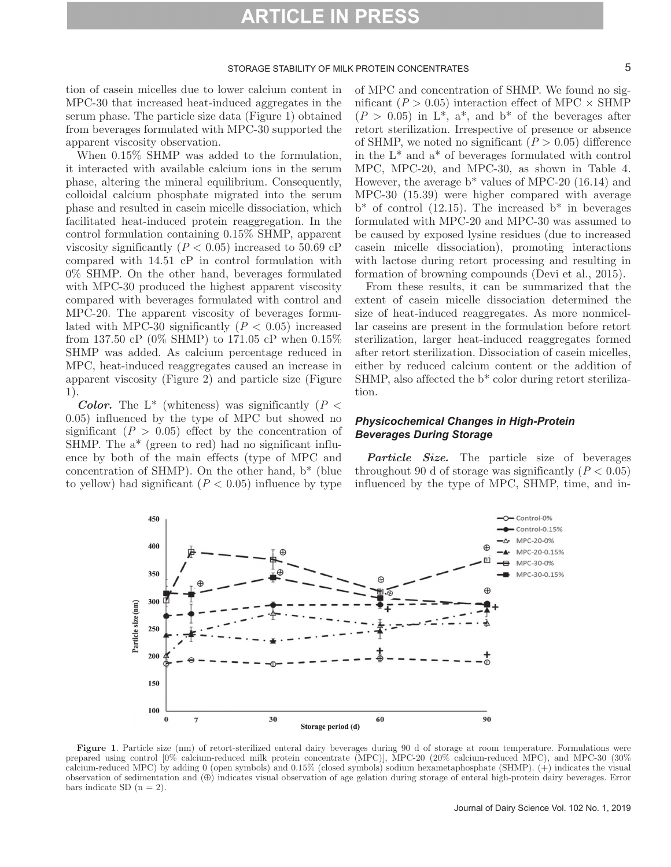#### STORAGE STABILITY OF MILK PROTEIN CONCENTRATES **5**

tion of casein micelles due to lower calcium content in MPC-30 that increased heat-induced aggregates in the serum phase. The particle size data (Figure 1) obtained from beverages formulated with MPC-30 supported the apparent viscosity observation.

When 0.15% SHMP was added to the formulation, it interacted with available calcium ions in the serum phase, altering the mineral equilibrium. Consequently, colloidal calcium phosphate migrated into the serum phase and resulted in casein micelle dissociation, which facilitated heat-induced protein reaggregation. In the control formulation containing 0.15% SHMP, apparent viscosity significantly  $(P < 0.05)$  increased to 50.69 cP compared with 14.51 cP in control formulation with 0% SHMP. On the other hand, beverages formulated with MPC-30 produced the highest apparent viscosity compared with beverages formulated with control and MPC-20. The apparent viscosity of beverages formulated with MPC-30 significantly  $(P < 0.05)$  increased from 137.50 cP (0% SHMP) to 171.05 cP when 0.15% SHMP was added. As calcium percentage reduced in MPC, heat-induced reaggregates caused an increase in apparent viscosity (Figure 2) and particle size (Figure 1).

*Color.* The L<sup>\*</sup> (whiteness) was significantly ( $P$  < 0.05) influenced by the type of MPC but showed no significant  $(P > 0.05)$  effect by the concentration of SHMP. The a\* (green to red) had no significant influence by both of the main effects (type of MPC and concentration of SHMP). On the other hand, b\* (blue to yellow) had significant  $(P < 0.05)$  influence by type of MPC and concentration of SHMP. We found no significant ( $P > 0.05$ ) interaction effect of MPC  $\times$  SHMP  $(P > 0.05)$  in L<sup>\*</sup>, a<sup>\*</sup>, and b<sup>\*</sup> of the beverages after retort sterilization. Irrespective of presence or absence of SHMP, we noted no significant  $(P > 0.05)$  difference in the  $L^*$  and  $a^*$  of beverages formulated with control MPC, MPC-20, and MPC-30, as shown in Table 4. However, the average  $b^*$  values of MPC-20 (16.14) and MPC-30 (15.39) were higher compared with average  $b^*$  of control (12.15). The increased  $b^*$  in beverages formulated with MPC-20 and MPC-30 was assumed to be caused by exposed lysine residues (due to increased casein micelle dissociation), promoting interactions with lactose during retort processing and resulting in formation of browning compounds (Devi et al., 2015).

From these results, it can be summarized that the extent of casein micelle dissociation determined the size of heat-induced reaggregates. As more nonmicellar caseins are present in the formulation before retort sterilization, larger heat-induced reaggregates formed after retort sterilization. Dissociation of casein micelles, either by reduced calcium content or the addition of SHMP, also affected the b\* color during retort sterilization.

# *Physicochemical Changes in High-Protein Beverages During Storage*

*Particle Size.* The particle size of beverages throughout 90 d of storage was significantly  $(P < 0.05)$ influenced by the type of MPC, SHMP, time, and in-



Figure 1. Particle size (nm) of retort-sterilized enteral dairy beverages during 90 d of storage at room temperature. Formulations were prepared using control [0% calcium-reduced milk protein concentrate (MPC)], MPC-20 (20% calcium-reduced MPC), and MPC-30 (30% calcium-reduced MPC) by adding 0 (open symbols) and 0.15% (closed symbols) sodium hexametaphosphate (SHMP). (+) indicates the visual observation of sedimentation and (⊕) indicates visual observation of age gelation during storage of enteral high-protein dairy beverages. Error bars indicate SD  $(n = 2)$ .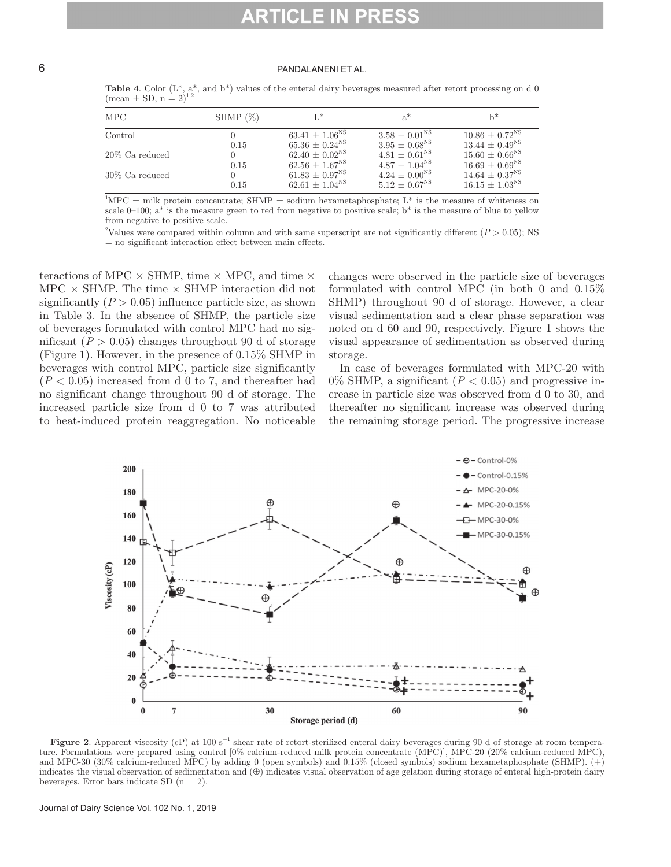### 6 PANDALANENI ET AL.

| <b>Table 4.</b> Color $(L^*, a^*,$ and $b^*)$ values of the enteral dairy beverages measured after retort processing on d 0 |  |  |  |
|-----------------------------------------------------------------------------------------------------------------------------|--|--|--|
| $(\text{mean} \pm \text{SD}, n = 2)^{1,2}$                                                                                  |  |  |  |

| MPC               | SHMP $(\%)$ | $L^*$                     | $a^*$                    | $h^*$                          |
|-------------------|-------------|---------------------------|--------------------------|--------------------------------|
| Control           |             | $63.41 \pm 1.06^{\rm NS}$ | $3.58 \pm 0.01^{\rm NS}$ | $10.86 \pm 0.72^{\rm NS}$      |
|                   | 0.15        | $65.36 \pm 0.24^{\rm NS}$ | $3.95 \pm 0.68^{\rm NS}$ | $13.44 \pm 0.49^{\rm NS}$      |
| $20\%$ Ca reduced | 0           | $62.40 \pm 0.02^{\rm NS}$ | $4.81 \pm 0.61^{\rm NS}$ | $15.60 \pm 0.66^{\rm NS}$      |
|                   | 0.15        | $62.56 \pm 1.67^{\rm NS}$ | $4.87 \pm 1.04^{\rm NS}$ | $16.69 \pm 0.69$ <sup>NS</sup> |
| $30\%$ Ca reduced | 0           | $61.83 \pm 0.97^{\rm NS}$ | $4.24 \pm 0.00^{NS}$     | $14.64 \pm 0.37^{\rm NS}$      |
|                   | 0.15        | $62.61 \pm 1.04^{\rm NS}$ | $5.12 \pm 0.67^{\rm NS}$ | $16.15 \pm 1.03^{NS}$          |

 ${}^{1}$ MPC = milk protein concentrate; SHMP = sodium hexametaphosphate; L<sup>\*</sup> is the measure of whiteness on scale 0–100; a\* is the measure green to red from negative to positive scale;  $b^*$  is the measure of blue to yellow from negative to positive scale.

2 Values were compared within column and with same superscript are not significantly different (*P* > 0.05); NS = no significant interaction effect between main effects.

teractions of MPC  $\times$  SHMP, time  $\times$  MPC, and time  $\times$ MPC  $\times$  SHMP. The time  $\times$  SHMP interaction did not significantly  $(P > 0.05)$  influence particle size, as shown in Table 3. In the absence of SHMP, the particle size of beverages formulated with control MPC had no significant  $(P > 0.05)$  changes throughout 90 d of storage (Figure 1). However, in the presence of 0.15% SHMP in beverages with control MPC, particle size significantly  $(P < 0.05)$  increased from d 0 to 7, and thereafter had no significant change throughout 90 d of storage. The increased particle size from d 0 to 7 was attributed to heat-induced protein reaggregation. No noticeable

changes were observed in the particle size of beverages formulated with control MPC (in both 0 and 0.15% SHMP) throughout 90 d of storage. However, a clear visual sedimentation and a clear phase separation was noted on d 60 and 90, respectively. Figure 1 shows the visual appearance of sedimentation as observed during storage.

In case of beverages formulated with MPC-20 with  $0\%$  SHMP, a significant ( $P < 0.05$ ) and progressive increase in particle size was observed from d 0 to 30, and thereafter no significant increase was observed during the remaining storage period. The progressive increase



**Figure 2**. Apparent viscosity (cP) at 100 s−1 shear rate of retort-sterilized enteral dairy beverages during 90 d of storage at room temperature. Formulations were prepared using control [0% calcium-reduced milk protein concentrate (MPC)], MPC-20 (20% calcium-reduced MPC), and MPC-30 (30% calcium-reduced MPC) by adding 0 (open symbols) and 0.15% (closed symbols) sodium hexametaphosphate (SHMP). (+) indicates the visual observation of sedimentation and (⊕) indicates visual observation of age gelation during storage of enteral high-protein dairy beverages. Error bars indicate SD  $(n = 2)$ .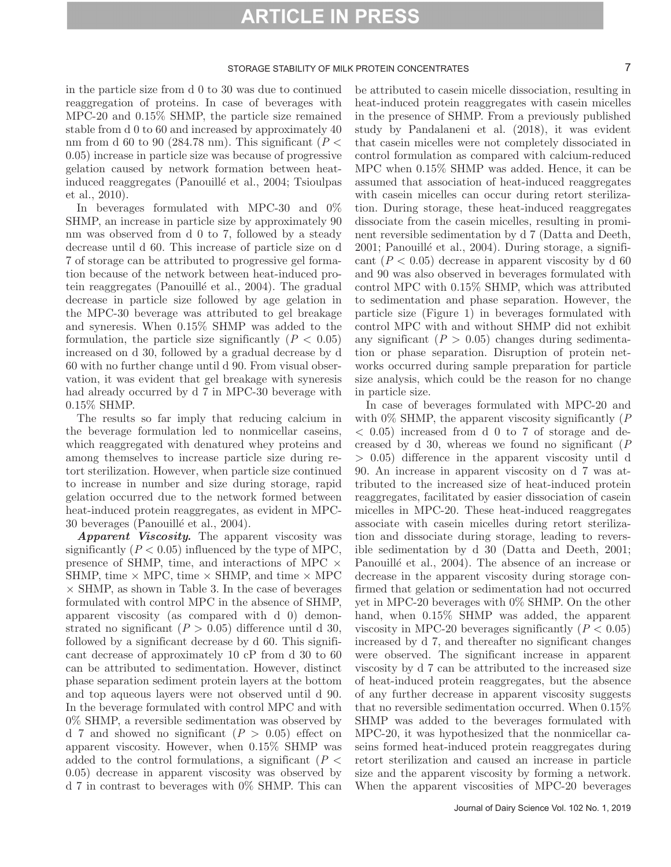### STORAGE STABILITY OF MILK PROTEIN CONCENTRATES **7**

in the particle size from d 0 to 30 was due to continued reaggregation of proteins. In case of beverages with MPC-20 and 0.15% SHMP, the particle size remained stable from d 0 to 60 and increased by approximately 40 nm from d 60 to 90 (284.78 nm). This significant ( $P <$ 0.05) increase in particle size was because of progressive gelation caused by network formation between heatinduced reaggregates (Panouillé et al., 2004; Tsioulpas et al., 2010).

In beverages formulated with MPC-30 and 0% SHMP, an increase in particle size by approximately 90 nm was observed from d 0 to 7, followed by a steady decrease until d 60. This increase of particle size on d 7 of storage can be attributed to progressive gel formation because of the network between heat-induced protein reaggregates (Panouillé et al., 2004). The gradual decrease in particle size followed by age gelation in the MPC-30 beverage was attributed to gel breakage and syneresis. When 0.15% SHMP was added to the formulation, the particle size significantly  $(P < 0.05)$ increased on d 30, followed by a gradual decrease by d 60 with no further change until d 90. From visual observation, it was evident that gel breakage with syneresis had already occurred by d 7 in MPC-30 beverage with 0.15% SHMP.

The results so far imply that reducing calcium in the beverage formulation led to nonmicellar caseins, which reaggregated with denatured whey proteins and among themselves to increase particle size during retort sterilization. However, when particle size continued to increase in number and size during storage, rapid gelation occurred due to the network formed between heat-induced protein reaggregates, as evident in MPC-30 beverages (Panouillé et al., 2004).

*Apparent Viscosity.* The apparent viscosity was significantly  $(P < 0.05)$  influenced by the type of MPC, presence of SHMP, time, and interactions of MPC  $\times$ SHMP, time  $\times$  MPC, time  $\times$  SHMP, and time  $\times$  MPC  $\times$  SHMP, as shown in Table 3. In the case of beverages formulated with control MPC in the absence of SHMP, apparent viscosity (as compared with d 0) demonstrated no significant  $(P > 0.05)$  difference until d 30, followed by a significant decrease by d 60. This significant decrease of approximately 10 cP from d 30 to 60 can be attributed to sedimentation. However, distinct phase separation sediment protein layers at the bottom and top aqueous layers were not observed until d 90. In the beverage formulated with control MPC and with 0% SHMP, a reversible sedimentation was observed by d 7 and showed no significant  $(P > 0.05)$  effect on apparent viscosity. However, when 0.15% SHMP was added to the control formulations, a significant  $(P \leq$ 0.05) decrease in apparent viscosity was observed by d 7 in contrast to beverages with 0% SHMP. This can be attributed to casein micelle dissociation, resulting in heat-induced protein reaggregates with casein micelles in the presence of SHMP. From a previously published study by Pandalaneni et al. (2018), it was evident that casein micelles were not completely dissociated in control formulation as compared with calcium-reduced MPC when 0.15% SHMP was added. Hence, it can be assumed that association of heat-induced reaggregates with case in micelles can occur during retort sterilization. During storage, these heat-induced reaggregates dissociate from the casein micelles, resulting in prominent reversible sedimentation by d 7 (Datta and Deeth, 2001; Panouillé et al., 2004). During storage, a significant  $(P < 0.05)$  decrease in apparent viscosity by d 60 and 90 was also observed in beverages formulated with control MPC with 0.15% SHMP, which was attributed to sedimentation and phase separation. However, the particle size (Figure 1) in beverages formulated with control MPC with and without SHMP did not exhibit any significant  $(P > 0.05)$  changes during sedimentation or phase separation. Disruption of protein networks occurred during sample preparation for particle size analysis, which could be the reason for no change in particle size.

In case of beverages formulated with MPC-20 and with 0% SHMP, the apparent viscosity significantly (*P*  $< 0.05$ ) increased from d 0 to 7 of storage and decreased by d 30, whereas we found no significant (*P* > 0.05) difference in the apparent viscosity until d 90. An increase in apparent viscosity on d 7 was attributed to the increased size of heat-induced protein reaggregates, facilitated by easier dissociation of casein micelles in MPC-20. These heat-induced reaggregates associate with casein micelles during retort sterilization and dissociate during storage, leading to reversible sedimentation by d 30 (Datta and Deeth, 2001; Panouillé et al., 2004). The absence of an increase or decrease in the apparent viscosity during storage confirmed that gelation or sedimentation had not occurred yet in MPC-20 beverages with 0% SHMP. On the other hand, when  $0.15\%$  SHMP was added, the apparent viscosity in MPC-20 beverages significantly  $(P < 0.05)$ increased by d 7, and thereafter no significant changes were observed. The significant increase in apparent viscosity by d 7 can be attributed to the increased size of heat-induced protein reaggregates, but the absence of any further decrease in apparent viscosity suggests that no reversible sedimentation occurred. When 0.15% SHMP was added to the beverages formulated with MPC-20, it was hypothesized that the nonmicellar caseins formed heat-induced protein reaggregates during retort sterilization and caused an increase in particle size and the apparent viscosity by forming a network. When the apparent viscosities of MPC-20 beverages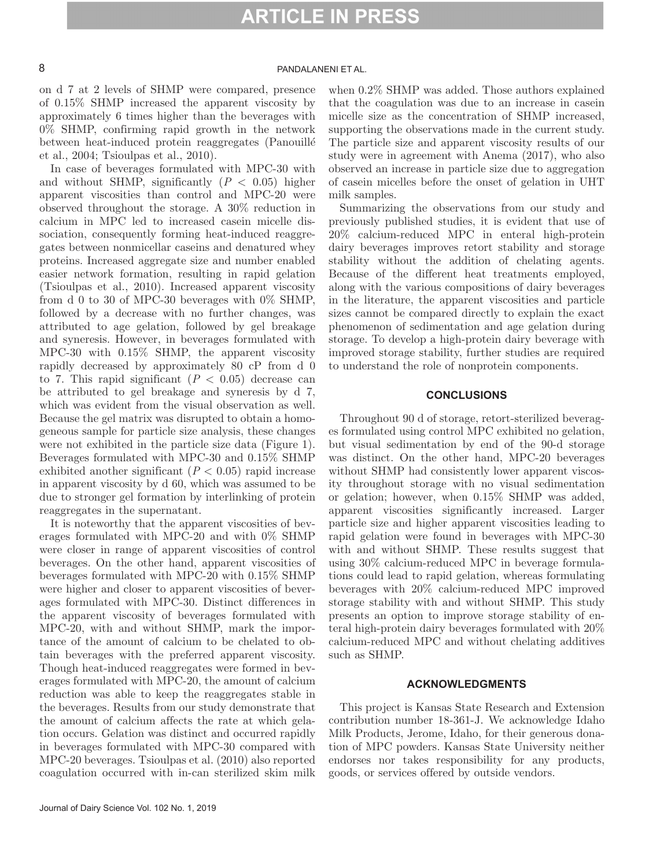# 8 PANDALANENI ET AL.

on d 7 at 2 levels of SHMP were compared, presence of 0.15% SHMP increased the apparent viscosity by approximately 6 times higher than the beverages with 0% SHMP, confirming rapid growth in the network between heat-induced protein reaggregates (Panouillé et al., 2004; Tsioulpas et al., 2010).

In case of beverages formulated with MPC-30 with and without SHMP, significantly  $(P < 0.05)$  higher apparent viscosities than control and MPC-20 were observed throughout the storage. A 30% reduction in calcium in MPC led to increased casein micelle dissociation, consequently forming heat-induced reaggregates between nonmicellar caseins and denatured whey proteins. Increased aggregate size and number enabled easier network formation, resulting in rapid gelation (Tsioulpas et al., 2010). Increased apparent viscosity from d 0 to 30 of MPC-30 beverages with 0% SHMP, followed by a decrease with no further changes, was attributed to age gelation, followed by gel breakage and syneresis. However, in beverages formulated with MPC-30 with 0.15% SHMP, the apparent viscosity rapidly decreased by approximately 80 cP from d 0 to 7. This rapid significant  $(P < 0.05)$  decrease can be attributed to gel breakage and syneresis by d 7, which was evident from the visual observation as well. Because the gel matrix was disrupted to obtain a homogeneous sample for particle size analysis, these changes were not exhibited in the particle size data (Figure 1). Beverages formulated with MPC-30 and 0.15% SHMP exhibited another significant  $(P < 0.05)$  rapid increase in apparent viscosity by d 60, which was assumed to be due to stronger gel formation by interlinking of protein reaggregates in the supernatant.

It is noteworthy that the apparent viscosities of beverages formulated with MPC-20 and with 0% SHMP were closer in range of apparent viscosities of control beverages. On the other hand, apparent viscosities of beverages formulated with MPC-20 with 0.15% SHMP were higher and closer to apparent viscosities of beverages formulated with MPC-30. Distinct differences in the apparent viscosity of beverages formulated with MPC-20, with and without SHMP, mark the importance of the amount of calcium to be chelated to obtain beverages with the preferred apparent viscosity. Though heat-induced reaggregates were formed in beverages formulated with MPC-20, the amount of calcium reduction was able to keep the reaggregates stable in the beverages. Results from our study demonstrate that the amount of calcium affects the rate at which gelation occurs. Gelation was distinct and occurred rapidly in beverages formulated with MPC-30 compared with MPC-20 beverages. Tsioulpas et al. (2010) also reported coagulation occurred with in-can sterilized skim milk

when 0.2% SHMP was added. Those authors explained that the coagulation was due to an increase in casein micelle size as the concentration of SHMP increased, supporting the observations made in the current study. The particle size and apparent viscosity results of our study were in agreement with Anema (2017), who also observed an increase in particle size due to aggregation of casein micelles before the onset of gelation in UHT milk samples.

Summarizing the observations from our study and previously published studies, it is evident that use of 20% calcium-reduced MPC in enteral high-protein dairy beverages improves retort stability and storage stability without the addition of chelating agents. Because of the different heat treatments employed, along with the various compositions of dairy beverages in the literature, the apparent viscosities and particle sizes cannot be compared directly to explain the exact phenomenon of sedimentation and age gelation during storage. To develop a high-protein dairy beverage with improved storage stability, further studies are required to understand the role of nonprotein components.

#### **CONCLUSIONS**

Throughout 90 d of storage, retort-sterilized beverages formulated using control MPC exhibited no gelation, but visual sedimentation by end of the 90-d storage was distinct. On the other hand, MPC-20 beverages without SHMP had consistently lower apparent viscosity throughout storage with no visual sedimentation or gelation; however, when 0.15% SHMP was added, apparent viscosities significantly increased. Larger particle size and higher apparent viscosities leading to rapid gelation were found in beverages with MPC-30 with and without SHMP. These results suggest that using 30% calcium-reduced MPC in beverage formulations could lead to rapid gelation, whereas formulating beverages with 20% calcium-reduced MPC improved storage stability with and without SHMP. This study presents an option to improve storage stability of enteral high-protein dairy beverages formulated with 20% calcium-reduced MPC and without chelating additives such as SHMP.

#### **ACKNOWLEDGMENTS**

This project is Kansas State Research and Extension contribution number 18-361-J. We acknowledge Idaho Milk Products, Jerome, Idaho, for their generous donation of MPC powders. Kansas State University neither endorses nor takes responsibility for any products, goods, or services offered by outside vendors.